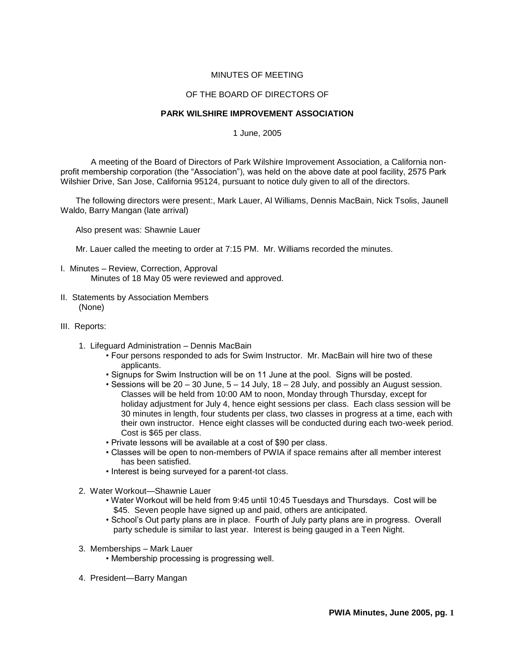# MINUTES OF MEETING

# OF THE BOARD OF DIRECTORS OF

#### **PARK WILSHIRE IMPROVEMENT ASSOCIATION**

1 June, 2005

A meeting of the Board of Directors of Park Wilshire Improvement Association, a California nonprofit membership corporation (the "Association"), was held on the above date at pool facility, 2575 Park Wilshier Drive, San Jose, California 95124, pursuant to notice duly given to all of the directors.

The following directors were present:, Mark Lauer, Al Williams, Dennis MacBain, Nick Tsolis, Jaunell Waldo, Barry Mangan (late arrival)

Also present was: Shawnie Lauer

Mr. Lauer called the meeting to order at 7:15 PM. Mr. Williams recorded the minutes.

- I. Minutes Review, Correction, Approval Minutes of 18 May 05 were reviewed and approved.
- II. Statements by Association Members (None)
- III. Reports:
	- 1. Lifeguard Administration Dennis MacBain
		- Four persons responded to ads for Swim Instructor. Mr. MacBain will hire two of these applicants.
		- Signups for Swim Instruction will be on 11 June at the pool. Signs will be posted.
		- Sessions will be  $20 30$  June,  $5 14$  July,  $18 28$  July, and possibly an August session. Classes will be held from 10:00 AM to noon, Monday through Thursday, except for holiday adjustment for July 4, hence eight sessions per class. Each class session will be 30 minutes in length, four students per class, two classes in progress at a time, each with their own instructor. Hence eight classes will be conducted during each two-week period. Cost is \$65 per class.
		- Private lessons will be available at a cost of \$90 per class.
		- Classes will be open to non-members of PWIA if space remains after all member interest has been satisfied.
		- Interest is being surveyed for a parent-tot class.
	- 2. Water Workout—Shawnie Lauer
		- Water Workout will be held from 9:45 until 10:45 Tuesdays and Thursdays. Cost will be \$45. Seven people have signed up and paid, others are anticipated.
		- School's Out party plans are in place. Fourth of July party plans are in progress. Overall party schedule is similar to last year. Interest is being gauged in a Teen Night.
	- 3. Memberships Mark Lauer
		- Membership processing is progressing well.
	- 4. President—Barry Mangan